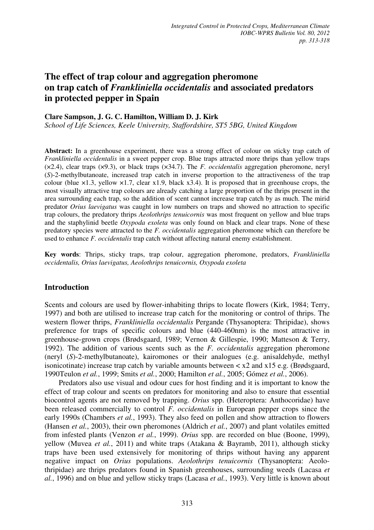# **The effect of trap colour and aggregation pheromone on trap catch of** *Frankliniella occidentalis* **and associated predators in protected pepper in Spain**

# **Clare Sampson, J. G. C. Hamilton, William D. J. Kirk**

*School of Life Sciences, Keele University, Staffordshire, ST5 5BG, United Kingdom* 

**Abstract:** In a greenhouse experiment, there was a strong effect of colour on sticky trap catch of *Frankliniella occidentalis* in a sweet pepper crop. Blue traps attracted more thrips than yellow traps (×2.4), clear traps (×9.3), or black traps (×34.7). The *F. occidentalis* aggregation pheromone, neryl (*S*)-2-methylbutanoate, increased trap catch in inverse proportion to the attractiveness of the trap colour (blue  $\times$ 1.3, yellow  $\times$ 1.7, clear x1.9, black x3.4). It is proposed that in greenhouse crops, the most visually attractive trap colours are already catching a large proportion of the thrips present in the area surrounding each trap, so the addition of scent cannot increase trap catch by as much. The mirid predator *Orius laevigatus* was caught in low numbers on traps and showed no attraction to specific trap colours, the predatory thrips *Aeolothrips tenuicornis* was most frequent on yellow and blue traps and the staphylinid beetle *Oxypoda exoleta* was only found on black and clear traps. None of these predatory species were attracted to the *F. occidentalis* aggregation pheromone which can therefore be used to enhance *F. occidentalis* trap catch without affecting natural enemy establishment.

**Key words**: Thrips, sticky traps, trap colour, aggregation pheromone, predators, *Frankliniella occidentalis, Orius laevigatus, Aeolothrips tenuicornis, Oxypoda exoleta*

# **Introduction**

Scents and colours are used by flower-inhabiting thrips to locate flowers (Kirk, 1984; Terry, 1997) and both are utilised to increase trap catch for the monitoring or control of thrips. The western flower thrips, *Frankliniella occidentalis* Pergande (Thysanoptera: Thripidae), shows preference for traps of specific colours and blue (440-460nm) is the most attractive in greenhouse-grown crops (Brødsgaard, 1989; Vernon & Gillespie, 1990; Matteson & Terry, 1992). The addition of various scents such as the *F. occidentalis* aggregation pheromone (neryl (*S*)-2-methylbutanoate), kairomones or their analogues (e.g. anisaldehyde, methyl isonicotinate) increase trap catch by variable amounts between  $\langle x \rangle$  and  $x15$  e.g. (Brødsgaard, 1990Teulon *et al.*, 1999; Smits *et al.*, 2000; Hamilton *et al.*, 2005; Gómez *et al.*, 2006).

Predators also use visual and odour cues for host finding and it is important to know the effect of trap colour and scents on predators for monitoring and also to ensure that essential biocontrol agents are not removed by trapping. *Orius* spp. (Heteroptera: Anthocoridae) have been released commercially to control *F. occidentalis* in European pepper crops since the early 1990s (Chambers *et al.*, 1993). They also feed on pollen and show attraction to flowers (Hansen *et al.*, 2003), their own pheromones (Aldrich *et al.*, 2007) and plant volatiles emitted from infested plants (Venzon *et al.*, 1999). *Orius* spp. are recorded on blue (Boone, 1999), yellow (Muvea *et al.*, 2011) and white traps (Atakana & Bayramb, 2011), although sticky traps have been used extensively for monitoring of thrips without having any apparent negative impact on *Orius* populations. *Aeolothrips tenuicornis* (Thysanoptera: Aeolothripidae) are thrips predators found in Spanish greenhouses, surrounding weeds (Lacasa *et al.*, 1996) and on blue and yellow sticky traps (Lacasa *et al.*, 1993). Very little is known about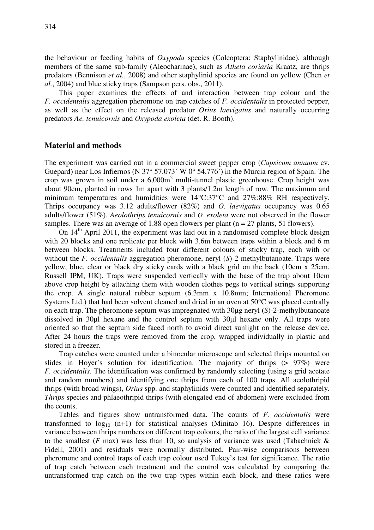the behaviour or feeding habits of *Oxypoda* species (Coleoptera: Staphylinidae), although members of the same sub-family (Aleocharinae), such as *Atheta coriaria* Kraatz, are thrips predators (Bennison *et al.*, 2008) and other staphylinid species are found on yellow (Chen *et al.*, 2004) and blue sticky traps (Sampson pers. obs., 2011).

This paper examines the effects of and interaction between trap colour and the *F. occidentalis* aggregation pheromone on trap catches of *F. occidentalis* in protected pepper, as well as the effect on the released predator *Orius laevigatus* and naturally occurring predators *Ae. tenuicornis* and *Oxypoda exoleta* (det. R. Booth).

### **Material and methods**

The experiment was carried out in a commercial sweet pepper crop (*Capsicum annuum* cv. Guepard) near Los Infiernos (N 37° 57.073<sup> $\cdot$ </sup> W 0° 54.776 $\cdot$ ) in the Murcia region of Spain. The crop was grown in soil under a  $6,000m^2$  multi-tunnel plastic greenhouse. Crop height was about 90cm, planted in rows 1m apart with 3 plants/1.2m length of row. The maximum and minimum temperatures and humidities were 14°C:37°C and 27%:88% RH respectively. Thrips occupancy was 3.12 adults/flower (82%) and *O. laevigatus* occupancy was 0.65 adults/flower (51%). *Aeolothrips tenuicornis* and *O. exoleta* were not observed in the flower samples. There was an average of 1.88 open flowers per plant ( $n = 27$  plants, 51 flowers).

On  $14<sup>th</sup>$  April 2011, the experiment was laid out in a randomised complete block design with 20 blocks and one replicate per block with 3.6m between traps within a block and 6 m between blocks. Treatments included four different colours of sticky trap, each with or without the *F. occidentalis* aggregation pheromone, neryl (*S*)-2-methylbutanoate. Traps were yellow, blue, clear or black dry sticky cards with a black grid on the back (10cm x 25cm, Russell IPM, UK). Traps were suspended vertically with the base of the trap about 10cm above crop height by attaching them with wooden clothes pegs to vertical strings supporting the crop. A single natural rubber septum (6.3mm x 10.8mm; International Pheromone Systems Ltd.) that had been solvent cleaned and dried in an oven at 50°C was placed centrally on each trap. The pheromone septum was impregnated with 30µg neryl (*S*)-2-methylbutanoate dissolved in 30µl hexane and the control septum with 30µl hexane only. All traps were oriented so that the septum side faced north to avoid direct sunlight on the release device. After 24 hours the traps were removed from the crop, wrapped individually in plastic and stored in a freezer.

Trap catches were counted under a binocular microscope and selected thrips mounted on slides in Hoyer's solution for identification. The majority of thrips (> 97%) were *F. occidentalis.* The identification was confirmed by randomly selecting (using a grid acetate and random numbers) and identifying one thrips from each of 100 traps. All aeolothripid thrips (with broad wings), *Orius* spp. and staphylinids were counted and identified separately. *Thrips* species and phlaeothripid thrips (with elongated end of abdomen) were excluded from the counts.

Tables and figures show untransformed data. The counts of *F. occidentalis* were transformed to  $log_{10}$  (n+1) for statistical analyses (Minitab 16). Despite differences in variance between thrips numbers on different trap colours, the ratio of the largest cell variance to the smallest  $(F \text{ max})$  was less than 10, so analysis of variance was used (Tabachnick  $\&$ Fidell, 2001) and residuals were normally distributed. Pair-wise comparisons between pheromone and control traps of each trap colour used Tukey's test for significance. The ratio of trap catch between each treatment and the control was calculated by comparing the untransformed trap catch on the two trap types within each block, and these ratios were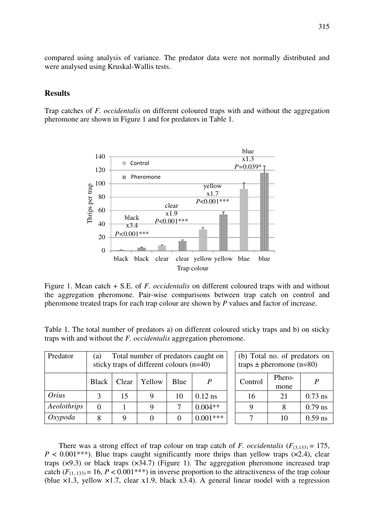compared using analysis of variance. The predator data were not normally distributed and were analysed using Kruskal-Wallis tests.

# **Results**

Trap catches of *F. occidentalis* on different coloured traps with and without the aggregation pheromone are shown in Figure 1 and for predators in Table 1.



Figure 1. Mean catch + S.E. of *F. occidentalis* on different coloured traps with and without the aggregation pheromone. Pair-wise comparisons between trap catch on control and pheromone treated traps for each trap colour are shown by *P* values and factor of increase.

Table 1. The total number of predators a) on different coloured sticky traps and b) on sticky traps with and without the *F. occidentalis* aggregation pheromone.

| Predator    | Total number of predators caught on<br>(a)<br>sticky traps of different colours (n=40) |       |        |      |                  | (b) Total no. of predators on<br>traps $\pm$ pheromone (n=80) |                |           |
|-------------|----------------------------------------------------------------------------------------|-------|--------|------|------------------|---------------------------------------------------------------|----------------|-----------|
|             | <b>Black</b>                                                                           | Clear | Yellow | Blue | $\boldsymbol{P}$ | Control                                                       | Phero-<br>mone | P         |
| Orius       |                                                                                        | 15    |        | 10   | $0.12$ ns        | 16                                                            | 21             | $0.73$ ns |
| Aeolothrips | $\Omega$                                                                               |       |        |      | $0.004**$        | 9                                                             | 8              | $0.79$ ns |
| Oxypoda     | 8                                                                                      | Q     |        |      | $0.001***$       |                                                               | 10             | $0.59$ ns |

There was a strong effect of trap colour on trap catch of *F. occidentalis*  $(F_{(3,133)} = 175$ ,  $P < 0.001$ <sup>\*\*\*</sup>). Blue traps caught significantly more thrips than yellow traps  $(x2.4)$ , clear traps  $(x9.3)$  or black traps  $(x34.7)$  (Figure 1). The aggregation pheromone increased trap catch  $(F_{(1, 133)} = 16, P < 0.001***$ ) in inverse proportion to the attractiveness of the trap colour (blue  $\times$ 1.3, yellow  $\times$ 1.7, clear x1.9, black x3.4). A general linear model with a regression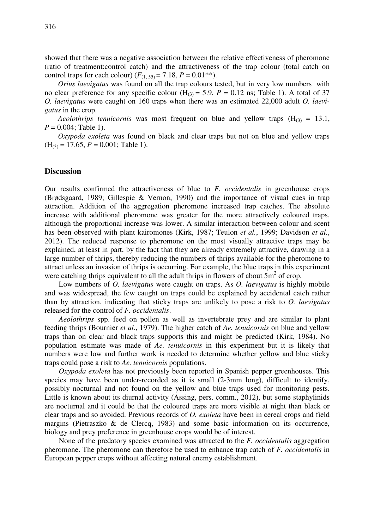showed that there was a negative association between the relative effectiveness of pheromone (ratio of treatment:control catch) and the attractiveness of the trap colour (total catch on control traps for each colour)  $(F_{(1, 55)} = 7.18, P = 0.01**)$ .

*Orius laevigatus* was found on all the trap colours tested, but in very low numbers with no clear preference for any specific colour  $(H<sub>(3)</sub> = 5.9, P = 0.12$  ns; Table 1). A total of 37 *O. laevigatus* were caught on 160 traps when there was an estimated 22,000 adult *O. laevigatus* in the crop.

*Aeolothrips tenuicornis* was most frequent on blue and yellow traps  $(H_{(3)} = 13.1,$  $P = 0.004$ ; Table 1).

*Oxypoda exoleta* was found on black and clear traps but not on blue and yellow traps  $(H<sub>(3)</sub> = 17.65, P = 0.001; Table 1).$ 

#### **Discussion**

Our results confirmed the attractiveness of blue to *F. occidentalis* in greenhouse crops (Brødsgaard, 1989; Gillespie & Vernon, 1990) and the importance of visual cues in trap attraction. Addition of the aggregation pheromone increased trap catches. The absolute increase with additional pheromone was greater for the more attractively coloured traps, although the proportional increase was lower. A similar interaction between colour and scent has been observed with plant kairomones (Kirk, 1987; Teulon *et al.*, 1999; Davidson *et al.*, 2012). The reduced response to pheromone on the most visually attractive traps may be explained, at least in part, by the fact that they are already extremely attractive, drawing in a large number of thrips, thereby reducing the numbers of thrips available for the pheromone to attract unless an invasion of thrips is occurring. For example, the blue traps in this experiment were catching thrips equivalent to all the adult thrips in flowers of about  $\overline{5m}^2$  of crop.

Low numbers of *O. laevigatus* were caught on traps. As *O. laevigatus* is highly mobile and was widespread, the few caught on traps could be explained by accidental catch rather than by attraction, indicating that sticky traps are unlikely to pose a risk to *O. laevigatus*  released for the control of *F. occidentalis*.

*Aeolothrips* spp. feed on pollen as well as invertebrate prey and are similar to plant feeding thrips (Bournier *et al.*, 1979). The higher catch of *Ae. tenuicornis* on blue and yellow traps than on clear and black traps supports this and might be predicted (Kirk, 1984). No population estimate was made of *Ae. tenuicornis* in this experiment but it is likely that numbers were low and further work is needed to determine whether yellow and blue sticky traps could pose a risk to *Ae. tenuicornis* populations.

*Oxypoda exoleta* has not previously been reported in Spanish pepper greenhouses. This species may have been under-recorded as it is small (2-3mm long), difficult to identify, possibly nocturnal and not found on the yellow and blue traps used for monitoring pests. Little is known about its diurnal activity (Assing, pers. comm., 2012), but some staphylinids are nocturnal and it could be that the coloured traps are more visible at night than black or clear traps and so avoided. Previous records of *O. exoleta* have been in cereal crops and field margins (Pietraszko & de Clercq, 1983) and some basic information on its occurrence, biology and prey preference in greenhouse crops would be of interest.

None of the predatory species examined was attracted to the *F. occidentalis* aggregation pheromone. The pheromone can therefore be used to enhance trap catch of *F. occidentalis* in European pepper crops without affecting natural enemy establishment.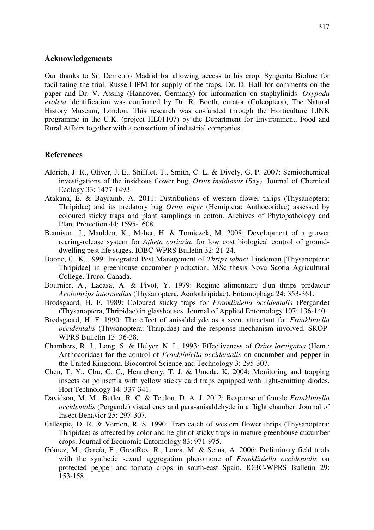#### **Acknowledgements**

Our thanks to Sr. Demetrio Madrid for allowing access to his crop, Syngenta Bioline for facilitating the trial, Russell IPM for supply of the traps, Dr. D. Hall for comments on the paper and Dr. V. Assing (Hannover, Germany) for information on staphylinids. *Oxypoda exoleta* identification was confirmed by Dr. R. Booth, curator (Coleoptera), The Natural History Museum, London. This research was co-funded through the Horticulture LINK programme in the U.K. (project HL01107) by the Department for Environment, Food and Rural Affairs together with a consortium of industrial companies.

#### **References**

- Aldrich, J. R., Oliver, J. E., Shifflet, T., Smith, C. L. & Dively, G. P. 2007: Semiochemical investigations of the insidious flower bug, *Orius insidiosus* (Say). Journal of Chemical Ecology 33: 1477-1493.
- Atakana, E. & Bayramb, A. 2011: Distributions of western flower thrips (Thysanoptera: Thripidae) and its predatory bug *Orius niger* (Hemiptera: Anthocoridae) assessed by coloured sticky traps and plant samplings in cotton. Archives of Phytopathology and Plant Protection 44: 1595-1608.
- Bennison, J., Maulden, K., Maher, H. & Tomiczek, M. 2008: Development of a grower rearing-release system for *Atheta coriaria*, for low cost biological control of grounddwelling pest life stages. IOBC-WPRS Bulletin 32: 21-24.
- Boone, C. K. 1999: Integrated Pest Management of *Thrips tabaci* Lindeman [Thysanoptera: Thripidae] in greenhouse cucumber production. MSc thesis Nova Scotia Agricultural College, Truro, Canada.
- Bournier, A., Lacasa, A. & Pivot, Y. 1979: Régime alimentaire d'un thrips prédateur *Aeolothrips intermedius* (Thysanoptera, Aeolothripidae). Entomophaga 24: 353-361.
- Brødsgaard, H. F. 1989: Coloured sticky traps for *Frankliniella occidentalis* (Pergande) (Thysanoptera, Thripidae) in glasshouses. Journal of Applied Entomology 107: 136-140.
- Brødsgaard, H. F. 1990: The effect of anisaldehyde as a scent attractant for *Frankliniella occidentalis* (Thysanoptera: Thripidae) and the response mechanism involved. SROP-WPRS Bulletin 13: 36-38.
- Chambers, R. J., Long, S. & Helyer, N. L. 1993: Effectiveness of *Orius laevigatus* (Hem.: Anthocoridae) for the control of *Frankliniella occidentalis* on cucumber and pepper in the United Kingdom. Biocontrol Science and Technology 3: 295-307.
- Chen, T. Y., Chu, C. C., Henneberry, T. J. & Umeda, K. 2004: Monitoring and trapping insects on poinsettia with yellow sticky card traps equipped with light-emitting diodes. Hort Technology 14: 337-341.
- Davidson, M. M., Butler, R. C. & Teulon, D. A. J. 2012: Response of female *Frankliniella occidentalis* (Pergande) visual cues and para-anisaldehyde in a flight chamber. Journal of Insect Behavior 25: 297-307.
- Gillespie, D. R. & Vernon, R. S. 1990: Trap catch of western flower thrips (Thysanoptera: Thripidae) as affected by color and height of sticky traps in mature greenhouse cucumber crops. Journal of Economic Entomology 83: 971-975.
- Gómez, M., García, F., GreatRex, R., Lorca, M. & Serna, A. 2006: Preliminary field trials with the synthetic sexual aggregation pheromone of *Frankliniella occidentalis* on protected pepper and tomato crops in south-east Spain. IOBC-WPRS Bulletin 29: 153-158.